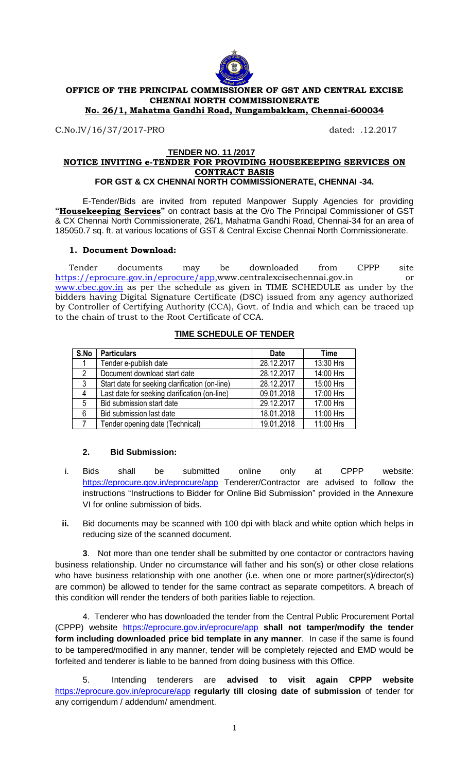

# **OFFICE OF THE PRINCIPAL COMMISSIONER OF GST AND CENTRAL EXCISE CHENNAI NORTH COMMISSIONERATE**

**No. 26/1, Mahatma Gandhi Road, Nungambakkam, Chennai-600034**

C.No.IV/16/37/2017-PRO dated: .12.2017

#### **TENDER NO. 11 /2017 NOTICE INVITING e-TENDER FOR PROVIDING HOUSEKEEPING SERVICES ON CONTRACT BASIS FOR GST & CX CHENNAI NORTH COMMISSIONERATE, CHENNAI -34.**

E-Tender/Bids are invited from reputed Manpower Supply Agencies for providing **"Housekeeping Services"** on contract basis at the O/o The Principal Commissioner of GST & CX Chennai North Commissionerate, 26/1, Mahatma Gandhi Road, Chennai-34 for an area of 185050.7 sq. ft. at various locations of GST & Central Excise Chennai North Commissionerate.

## **1. Document Download:**

Tender documents may be downloaded from CPPP site <https://eprocure.gov.in/eprocure/app>[,www.centralexcisechennai.gov.in](http://www.centralexcisechennai.gov.in/) or [www.cbec.gov.in](http://www.cbec.gov.in/) as per the schedule as given in TIME SCHEDULE as under by the bidders having Digital Signature Certificate (DSC) issued from any agency authorized by Controller of Certifying Authority (CCA), Govt. of India and which can be traced up to the chain of trust to the Root Certificate of CCA.

| S.No            | <b>Particulars</b>                             | <b>Date</b> | <b>Time</b> |
|-----------------|------------------------------------------------|-------------|-------------|
|                 | Tender e-publish date                          | 28.12.2017  | 13:30 Hrs   |
| $\overline{2}$  | Document download start date                   | 28.12.2017  | 14:00 Hrs   |
| 3               | Start date for seeking clarification (on-line) | 28.12.2017  | 15:00 Hrs   |
| $\overline{4}$  | Last date for seeking clarification (on-line)  | 09.01.2018  | 17:00 Hrs   |
| $5\overline{)}$ | <b>Bid submission start date</b>               | 29.12.2017  | 17:00 Hrs   |
| 6               | Bid submission last date                       | 18.01.2018  | 11:00 Hrs   |
|                 | Tender opening date (Technical)                | 19.01.2018  | 11:00 Hrs   |

## **TIME SCHEDULE OF TENDER**

## **2. Bid Submission:**

- i. Bids shall be submitted online only at CPPP website: <https://eprocure.gov.in/eprocure/app> Tenderer/Contractor are advised to follow the instructions "Instructions to Bidder for Online Bid Submission" provided in the Annexure VI for online submission of bids.
- **ii.** Bid documents may be scanned with 100 dpi with black and white option which helps in reducing size of the scanned document.

**3**. Not more than one tender shall be submitted by one contactor or contractors having business relationship. Under no circumstance will father and his son(s) or other close relations who have business relationship with one another (i.e. when one or more partner(s)/director(s) are common) be allowed to tender for the same contract as separate competitors. A breach of this condition will render the tenders of both parities liable to rejection.

4. Tenderer who has downloaded the tender from the Central Public Procurement Portal (CPPP) website <https://eprocure.gov.in/eprocure/app> **shall not tamper/modify the tender form including downloaded price bid template in any manner**. In case if the same is found to be tampered/modified in any manner, tender will be completely rejected and EMD would be forfeited and tenderer is liable to be banned from doing business with this Office.

5. Intending tenderers are **advised to visit again CPPP website** <https://eprocure.gov.in/eprocure/app> **regularly till closing date of submission** of tender for any corrigendum / addendum/ amendment.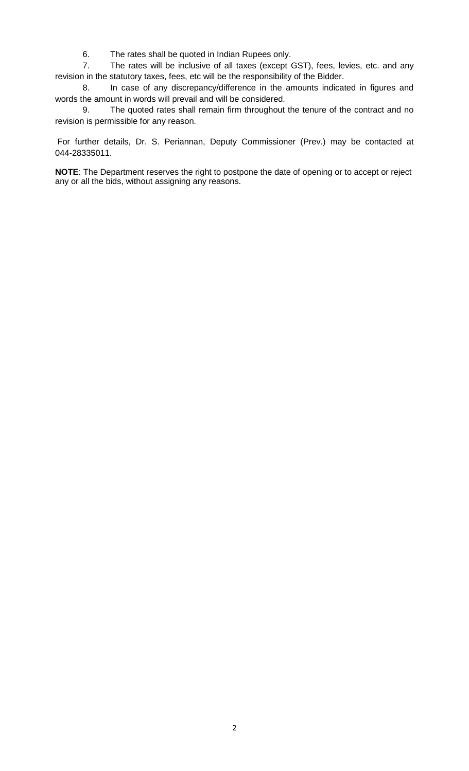6. The rates shall be quoted in Indian Rupees only.

7. The rates will be inclusive of all taxes (except GST), fees, levies, etc. and any revision in the statutory taxes, fees, etc will be the responsibility of the Bidder.

8. In case of any discrepancy/difference in the amounts indicated in figures and words the amount in words will prevail and will be considered.

9. The quoted rates shall remain firm throughout the tenure of the contract and no revision is permissible for any reason.

For further details, Dr. S. Periannan, Deputy Commissioner (Prev.) may be contacted at 044-28335011.

**NOTE**: The Department reserves the right to postpone the date of opening or to accept or reject any or all the bids, without assigning any reasons.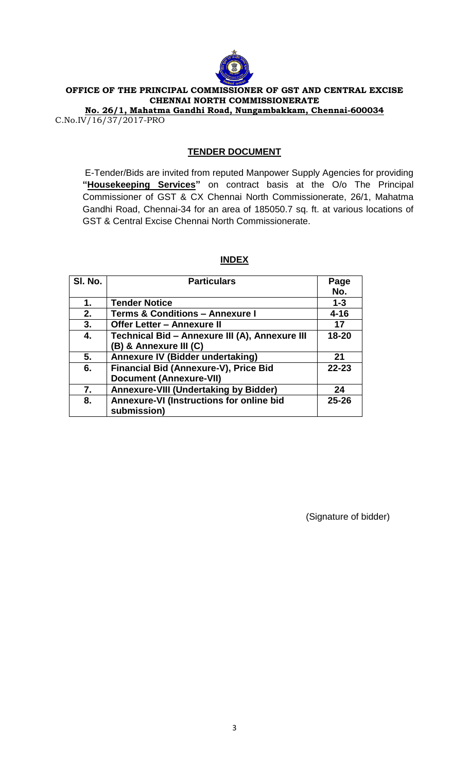

## **OFFICE OF THE PRINCIPAL COMMISSIONER OF GST AND CENTRAL EXCISE CHENNAI NORTH COMMISSIONERATE**

**No. 26/1, Mahatma Gandhi Road, Nungambakkam, Chennai-600034** C.No.IV/16/37/2017-PRO

# **TENDER DOCUMENT**

E-Tender/Bids are invited from reputed Manpower Supply Agencies for providing **"Housekeeping Services"** on contract basis at the O/o The Principal Commissioner of GST & CX Chennai North Commissionerate, 26/1, Mahatma Gandhi Road, Chennai-34 for an area of 185050.7 sq. ft. at various locations of GST & Central Excise Chennai North Commissionerate.

| SI. No. | <b>Particulars</b>                             | Page      |
|---------|------------------------------------------------|-----------|
|         |                                                | No.       |
| 1.      | <b>Tender Notice</b>                           | $1 - 3$   |
| 2.      | <b>Terms &amp; Conditions - Annexure I</b>     | $4 - 16$  |
| 3.      | <b>Offer Letter - Annexure II</b>              | 17        |
| 4.      | Technical Bid - Annexure III (A), Annexure III | $18 - 20$ |
|         | (B) & Annexure III (C)                         |           |
| 5.      | Annexure IV (Bidder undertaking)               | 21        |
| 6.      | <b>Financial Bid (Annexure-V), Price Bid</b>   | $22 - 23$ |
|         | <b>Document (Annexure-VII)</b>                 |           |
| 7.      | <b>Annexure-VIII (Undertaking by Bidder)</b>   | 24        |
| 8.      | Annexure-VI (Instructions for online bid       | $25 - 26$ |
|         | submission)                                    |           |

## **INDEX**

(Signature of bidder)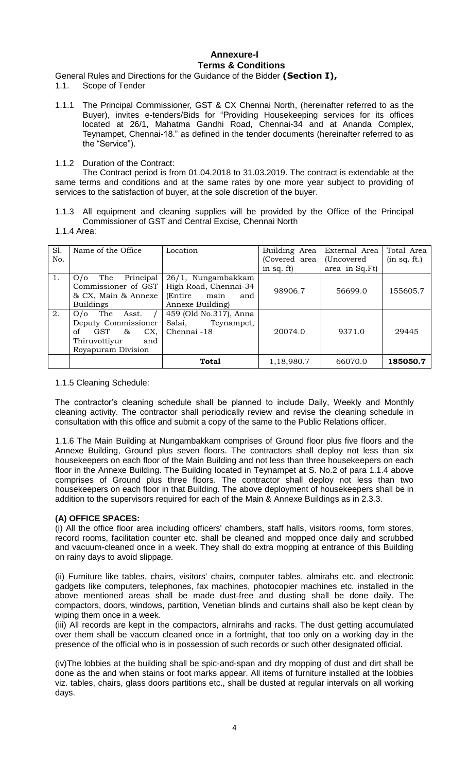## **Annexure-I Terms & Conditions**

General Rules and Directions for the Guidance of the Bidder **(Section I),**

- 1.1. Scope of Tender
- 1.1.1 The Principal Commissioner, GST & CX Chennai North, (hereinafter referred to as the Buyer), invites e-tenders/Bids for "Providing Housekeeping services for its offices located at 26/1, Mahatma Gandhi Road, Chennai-34 and at Ananda Complex, Teynampet, Chennai-18." as defined in the tender documents (hereinafter referred to as the "Service").

#### 1.1.2 Duration of the Contract:

The Contract period is from 01.04.2018 to 31.03.2019. The contract is extendable at the same terms and conditions and at the same rates by one more year subject to providing of services to the satisfaction of buyer, at the sole discretion of the buyer.

- 1.1.3 All equipment and cleaning supplies will be provided by the Office of the Principal Commissioner of GST and Central Excise, Chennai North
- 1.1.4 Area:

| S1. | Name of the Office           | Location               | Building Area | External Area  | Total Area   |
|-----|------------------------------|------------------------|---------------|----------------|--------------|
| No. |                              |                        | (Covered area | (Uncovered)    | (in sq. ft.) |
|     |                              |                        | in sq. ft)    | area in Sq.Ft) |              |
| 1.  | Principal<br>The<br>O/O      | 26/1, Nungambakkam     |               |                |              |
|     | Commissioner of GST          | High Road, Chennai-34  | 98906.7       | 56699.0        | 155605.7     |
|     | & CX, Main & Annexe          | (Entire<br>main<br>and |               |                |              |
|     | <b>Buildings</b>             | Annexe Building        |               |                |              |
| 2.  | The Asst.<br>O/O             | 459 (Old No.317), Anna |               |                |              |
|     | Deputy Commissioner          | Salai,<br>Teynampet,   |               |                |              |
|     | <b>GST</b><br>&<br>CX,<br>of | Chennai -18            | 20074.0       | 9371.0         | 29445        |
|     | Thiruvottiyur<br>and         |                        |               |                |              |
|     | Royapuram Division           |                        |               |                |              |
|     |                              | Total                  | 1,18,980.7    | 66070.0        | 185050.7     |

#### 1.1.5 Cleaning Schedule:

The contractor"s cleaning schedule shall be planned to include Daily, Weekly and Monthly cleaning activity. The contractor shall periodically review and revise the cleaning schedule in consultation with this office and submit a copy of the same to the Public Relations officer.

1.1.6 The Main Building at Nungambakkam comprises of Ground floor plus five floors and the Annexe Building, Ground plus seven floors. The contractors shall deploy not less than six housekeepers on each floor of the Main Building and not less than three housekeepers on each floor in the Annexe Building. The Building located in Teynampet at S. No.2 of para 1.1.4 above comprises of Ground plus three floors. The contractor shall deploy not less than two housekeepers on each floor in that Building. The above deployment of housekeepers shall be in addition to the supervisors required for each of the Main & Annexe Buildings as in 2.3.3.

## **(A) OFFICE SPACES:**

(i) All the office floor area including officers' chambers, staff halls, visitors rooms, form stores, record rooms, facilitation counter etc. shall be cleaned and mopped once daily and scrubbed and vacuum-cleaned once in a week. They shall do extra mopping at entrance of this Building on rainy days to avoid slippage.

(ii) Furniture like tables, chairs, visitors' chairs, computer tables, almirahs etc. and electronic gadgets like computers, telephones, fax machines, photocopier machines etc. installed in the above mentioned areas shall be made dust-free and dusting shall be done daily. The compactors, doors, windows, partition, Venetian blinds and curtains shall also be kept clean by wiping them once in a week.

(iii) All records are kept in the compactors, alrnirahs and racks. The dust getting accumulated over them shall be vaccum cleaned once in a fortnight, that too only on a working day in the presence of the official who is in possession of such records or such other designated official.

(iv)The lobbies at the building shall be spic-and-span and dry mopping of dust and dirt shall be done as the and when stains or foot marks appear. All items of furniture installed at the lobbies viz. tables, chairs, glass doors partitions etc., shall be dusted at regular intervals on all working days.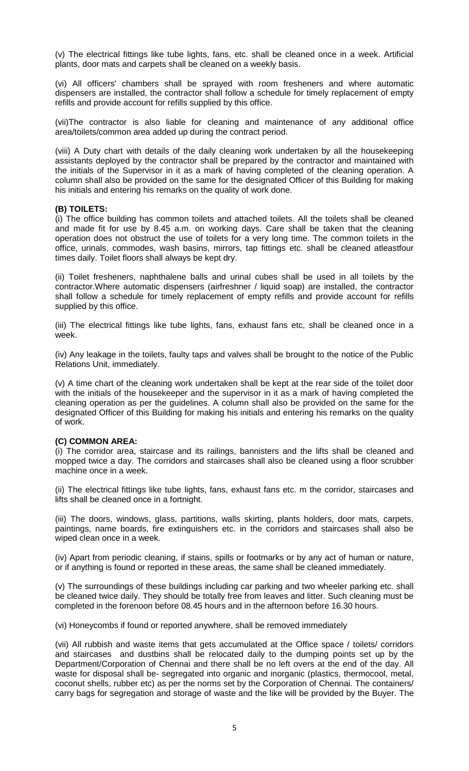(v) The electrical fittings like tube lights, fans, etc. shall be cleaned once in a week. Artificial plants, door mats and carpets shall be cleaned on a weekly basis.

(vi) All officers' chambers shall be sprayed with room fresheners and where automatic dispensers are installed, the contractor shall follow a schedule for timely replacement of empty refills and provide account for refills supplied by this office.

(vii)The contractor is also liable for cleaning and maintenance of any additional office area/toilets/common area added up during the contract period.

(viii) A Duty chart with details of the daily cleaning work undertaken by all the housekeeping assistants deployed by the contractor shall be prepared by the contractor and maintained with the initials of the Supervisor in it as a mark of having completed of the cleaning operation. A column shall also be provided on the same for the designated Officer of this Building for making his initials and entering his remarks on the quality of work done.

## **(B) TOILETS:**

(i) The office building has common toilets and attached toilets. All the toilets shall be cleaned and made fit for use by 8.45 a.m. on working days. Care shall be taken that the cleaning operation does not obstruct the use of toilets for a very long time. The common toilets in the office, urinals, commodes, wash basins, mirrors, tap fittings etc. shall be cleaned atleastfour times daily. Toilet floors shall always be kept dry.

(ii) Toilet fresheners, naphthalene balls and urinal cubes shall be used in all toilets by the contractor.Where automatic dispensers (airfreshner / liquid soap) are installed, the contractor shall follow a schedule for timely replacement of empty refills and provide account for refills supplied by this office.

(iii) The electrical fittings like tube lights, fans, exhaust fans etc, shall be cleaned once in a week.

(iv) Any leakage in the toilets, faulty taps and valves shall be brought to the notice of the Public Relations Unit, immediately.

(v) A time chart of the cleaning work undertaken shall be kept at the rear side of the toilet door with the initials of the housekeeper and the supervisor in it as a mark of having completed the cleaning operation as per the guidelines. A column shall also be provided on the same for the designated Officer of this Building for making his initials and entering his remarks on the quality of work.

#### **(C) COMMON AREA:**

(i) The corridor area, staircase and its railings, bannisters and the lifts shall be cleaned and mopped twice a day. The corridors and staircases shall also be cleaned using a floor scrubber machine once in a week.

(ii) The electrical fittings like tube lights, fans, exhaust fans etc. m the corridor, staircases and lifts shall be cleaned once in a fortnight.

(iii) The doors, windows, glass, partitions, walls skirting, plants holders, door mats, carpets, paintings, name boards, fire extinguishers etc. in the corridors and staircases shall also be wiped clean once in a week.

(iv) Apart from periodic cleaning, if stains, spills or footmarks or by any act of human or nature, or if anything is found or reported in these areas, the same shall be cleaned immediately.

(v) The surroundings of these buildings including car parking and two wheeler parking etc. shall be cleaned twice daily. They should be totally free from leaves and litter. Such cleaning must be completed in the forenoon before 08.45 hours and in the afternoon before 16.30 hours.

(vi) Honeycombs if found or reported anywhere, shall be removed immediately

(vii) All rubbish and waste items that gets accumulated at the Office space / toilets/ corridors and staircases and dustbins shall be relocated daily to the dumping points set up by the Department/Corporation of Chennai and there shall be no left overs at the end of the day. All waste for disposal shall be- segregated into organic and inorganic (plastics, thermocool, metal, coconut shells, rubber etc) as per the norms set by the Corporation of Chennai. The containers/ carry bags for segregation and storage of waste and the like will be provided by the Buyer. The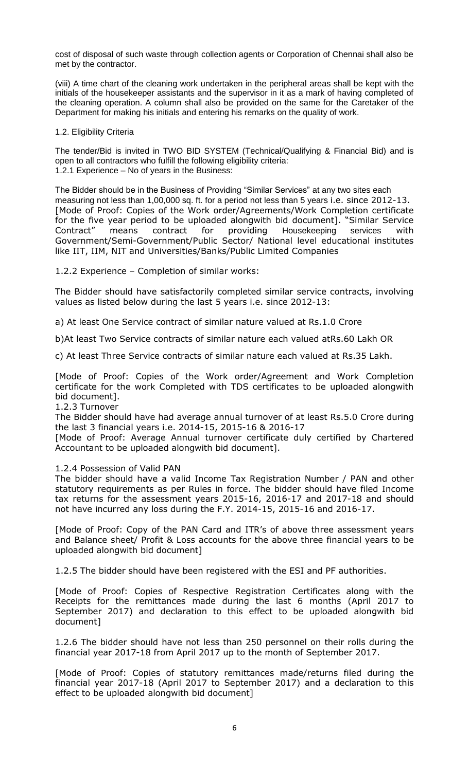cost of disposal of such waste through collection agents or Corporation of Chennai shall also be met by the contractor.

(viii) A time chart of the cleaning work undertaken in the peripheral areas shall be kept with the initials of the housekeeper assistants and the supervisor in it as a mark of having completed of the cleaning operation. A column shall also be provided on the same for the Caretaker of the Department for making his initials and entering his remarks on the quality of work.

#### 1.2. Eligibility Criteria

The tender/Bid is invited in TWO BID SYSTEM (Technical/Qualifying & Financial Bid) and is open to all contractors who fulfill the following eligibility criteria: 1.2.1 Experience – No of years in the Business:

The Bidder should be in the Business of Providing "Similar Services" at any two sites each measuring not less than 1,00,000 sq. ft. for a period not less than 5 years i.e. since 2012-13. [Mode of Proof: Copies of the Work order/Agreements/Work Completion certificate for the five year period to be uploaded alongwith bid document]. "Similar Service<br>Contract" means contract for providing Housekeeping services with Contract" means contract for providing Housekeeping services with Government/Semi-Government/Public Sector/ National level educational institutes like IIT, IIM, NIT and Universities/Banks/Public Limited Companies

1.2.2 Experience – Completion of similar works:

The Bidder should have satisfactorily completed similar service contracts, involving values as listed below during the last 5 years i.e. since 2012-13:

a) At least One Service contract of similar nature valued at Rs.1.0 Crore

b)At least Two Service contracts of similar nature each valued atRs.60 Lakh OR

c) At least Three Service contracts of similar nature each valued at Rs.35 Lakh.

[Mode of Proof: Copies of the Work order/Agreement and Work Completion certificate for the work Completed with TDS certificates to be uploaded alongwith bid document].

#### 1.2.3 Turnover

The Bidder should have had average annual turnover of at least Rs.5.0 Crore during the last 3 financial years i.e. 2014-15, 2015-16 & 2016-17

[Mode of Proof: Average Annual turnover certificate duly certified by Chartered Accountant to be uploaded alongwith bid document].

## 1.2.4 Possession of Valid PAN

The bidder should have a valid Income Tax Registration Number / PAN and other statutory requirements as per Rules in force. The bidder should have filed Income tax returns for the assessment years 2015-16, 2016-17 and 2017-18 and should not have incurred any loss during the F.Y. 2014-15, 2015-16 and 2016-17.

[Mode of Proof: Copy of the PAN Card and ITR's of above three assessment years and Balance sheet/ Profit & Loss accounts for the above three financial years to be uploaded alongwith bid document]

1.2.5 The bidder should have been registered with the ESI and PF authorities.

[Mode of Proof: Copies of Respective Registration Certificates along with the Receipts for the remittances made during the last 6 months (April 2017 to September 2017) and declaration to this effect to be uploaded alongwith bid document]

1.2.6 The bidder should have not less than 250 personnel on their rolls during the financial year 2017-18 from April 2017 up to the month of September 2017.

[Mode of Proof: Copies of statutory remittances made/returns filed during the financial year 2017-18 (April 2017 to September 2017) and a declaration to this effect to be uploaded alongwith bid document]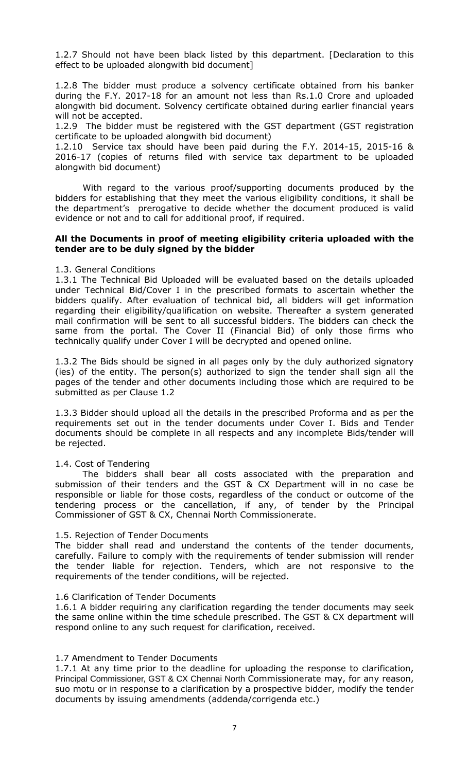1.2.7 Should not have been black listed by this department. [Declaration to this effect to be uploaded alongwith bid document]

1.2.8 The bidder must produce a solvency certificate obtained from his banker during the F.Y. 2017-18 for an amount not less than Rs.1.0 Crore and uploaded alongwith bid document. Solvency certificate obtained during earlier financial years will not be accepted.

1.2.9 The bidder must be registered with the GST department (GST registration certificate to be uploaded alongwith bid document)

1.2.10 Service tax should have been paid during the F.Y. 2014-15, 2015-16 & 2016-17 (copies of returns filed with service tax department to be uploaded alongwith bid document)

With regard to the various proof/supporting documents produced by the bidders for establishing that they meet the various eligibility conditions, it shall be the department's prerogative to decide whether the document produced is valid evidence or not and to call for additional proof, if required.

## **All the Documents in proof of meeting eligibility criteria uploaded with the tender are to be duly signed by the bidder**

#### 1.3. General Conditions

1.3.1 The Technical Bid Uploaded will be evaluated based on the details uploaded under Technical Bid/Cover I in the prescribed formats to ascertain whether the bidders qualify. After evaluation of technical bid, all bidders will get information regarding their eligibility/qualification on website. Thereafter a system generated mail confirmation will be sent to all successful bidders. The bidders can check the same from the portal. The Cover II (Financial Bid) of only those firms who technically qualify under Cover I will be decrypted and opened online.

1.3.2 The Bids should be signed in all pages only by the duly authorized signatory (ies) of the entity. The person(s) authorized to sign the tender shall sign all the pages of the tender and other documents including those which are required to be submitted as per Clause 1.2

1.3.3 Bidder should upload all the details in the prescribed Proforma and as per the requirements set out in the tender documents under Cover I. Bids and Tender documents should be complete in all respects and any incomplete Bids/tender will be rejected.

## 1.4. Cost of Tendering

The bidders shall bear all costs associated with the preparation and submission of their tenders and the GST & CX Department will in no case be responsible or liable for those costs, regardless of the conduct or outcome of the tendering process or the cancellation, if any, of tender by the Principal Commissioner of GST & CX, Chennai North Commissionerate.

## 1.5. Rejection of Tender Documents

The bidder shall read and understand the contents of the tender documents, carefully. Failure to comply with the requirements of tender submission will render the tender liable for rejection. Tenders, which are not responsive to the requirements of the tender conditions, will be rejected.

## 1.6 Clarification of Tender Documents

1.6.1 A bidder requiring any clarification regarding the tender documents may seek the same online within the time schedule prescribed. The GST & CX department will respond online to any such request for clarification, received.

## 1.7 Amendment to Tender Documents

1.7.1 At any time prior to the deadline for uploading the response to clarification, Principal Commissioner, GST & CX Chennai North Commissionerate may, for any reason, suo motu or in response to a clarification by a prospective bidder, modify the tender documents by issuing amendments (addenda/corrigenda etc.)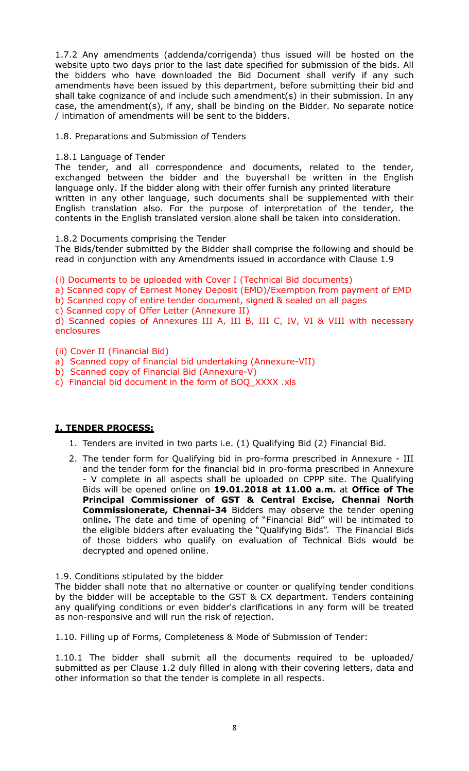1.7.2 Any amendments (addenda/corrigenda) thus issued will be hosted on the website upto two days prior to the last date specified for submission of the bids. All the bidders who have downloaded the Bid Document shall verify if any such amendments have been issued by this department, before submitting their bid and shall take cognizance of and include such amendment(s) in their submission. In any case, the amendment(s), if any, shall be binding on the Bidder. No separate notice / intimation of amendments will be sent to the bidders.

1.8. Preparations and Submission of Tenders

## 1.8.1 Language of Tender

The tender, and all correspondence and documents, related to the tender, exchanged between the bidder and the buyershall be written in the English language only. If the bidder along with their offer furnish any printed literature written in any other language, such documents shall be supplemented with their English translation also. For the purpose of interpretation of the tender, the contents in the English translated version alone shall be taken into consideration.

1.8.2 Documents comprising the Tender

The Bids/tender submitted by the Bidder shall comprise the following and should be read in conjunction with any Amendments issued in accordance with Clause 1.9

(i) Documents to be uploaded with Cover I (Technical Bid documents)

a) Scanned copy of Earnest Money Deposit (EMD)/Exemption from payment of EMD

b) Scanned copy of entire tender document, signed & sealed on all pages

c) Scanned copy of Offer Letter (Annexure II)

d) Scanned copies of Annexures III A, III B, III C, IV, VI & VIII with necessary enclosures

(ii) Cover II (Financial Bid)

a) Scanned copy of financial bid undertaking (Annexure-VII)

- b) Scanned copy of Financial Bid (Annexure-V)
- c) Financial bid document in the form of BOQ\_XXXX .xls

# **I. TENDER PROCESS:**

- 1. Tenders are invited in two parts i.e. (1) Qualifying Bid (2) Financial Bid.
- 2. The tender form for Qualifying bid in pro-forma prescribed in Annexure III and the tender form for the financial bid in pro-forma prescribed in Annexure - V complete in all aspects shall be uploaded on CPPP site. The Qualifying Bids will be opened online on **19.01.2018 at 11.00 a.m.** at **Office of The Principal Commissioner of GST & Central Excise, Chennai North Commissionerate, Chennai-34** Bidders may observe the tender opening online**.** The date and time of opening of "Financial Bid" will be intimated to the eligible bidders after evaluating the "Qualifying Bids". The Financial Bids of those bidders who qualify on evaluation of Technical Bids would be decrypted and opened online.
- 1.9. Conditions stipulated by the bidder

The bidder shall note that no alternative or counter or qualifying tender conditions by the bidder will be acceptable to the GST & CX department. Tenders containing any qualifying conditions or even bidder's clarifications in any form will be treated as non-responsive and will run the risk of rejection.

1.10. Filling up of Forms, Completeness & Mode of Submission of Tender:

1.10.1 The bidder shall submit all the documents required to be uploaded/ submitted as per Clause 1.2 duly filled in along with their covering letters, data and other information so that the tender is complete in all respects.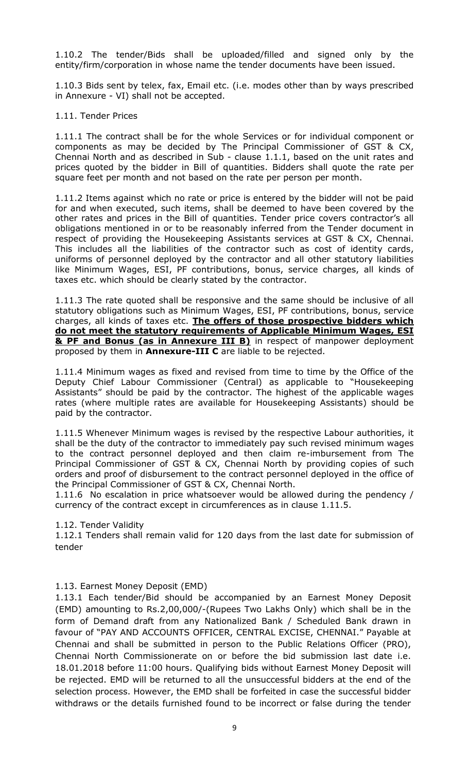1.10.2 The tender/Bids shall be uploaded/filled and signed only by the entity/firm/corporation in whose name the tender documents have been issued.

1.10.3 Bids sent by telex, fax, Email etc. (i.e. modes other than by ways prescribed in Annexure - VI) shall not be accepted.

## 1.11. Tender Prices

1.11.1 The contract shall be for the whole Services or for individual component or components as may be decided by The Principal Commissioner of GST & CX, Chennai North and as described in Sub - clause 1.1.1, based on the unit rates and prices quoted by the bidder in Bill of quantities. Bidders shall quote the rate per square feet per month and not based on the rate per person per month.

1.11.2 Items against which no rate or price is entered by the bidder will not be paid for and when executed, such items, shall be deemed to have been covered by the other rates and prices in the Bill of quantities. Tender price covers contractor's all obligations mentioned in or to be reasonably inferred from the Tender document in respect of providing the Housekeeping Assistants services at GST & CX, Chennai. This includes all the liabilities of the contractor such as cost of identity cards, uniforms of personnel deployed by the contractor and all other statutory liabilities like Minimum Wages, ESI, PF contributions, bonus, service charges, all kinds of taxes etc. which should be clearly stated by the contractor.

1.11.3 The rate quoted shall be responsive and the same should be inclusive of all statutory obligations such as Minimum Wages, ESI, PF contributions, bonus, service charges, all kinds of taxes etc. **The offers of those prospective bidders which do not meet the statutory requirements of Applicable Minimum Wages, ESI & PF and Bonus (as in Annexure III B)** in respect of manpower deployment proposed by them in **Annexure-III C** are liable to be rejected.

1.11.4 Minimum wages as fixed and revised from time to time by the Office of the Deputy Chief Labour Commissioner (Central) as applicable to "Housekeeping Assistants" should be paid by the contractor. The highest of the applicable wages rates (where multiple rates are available for Housekeeping Assistants) should be paid by the contractor.

1.11.5 Whenever Minimum wages is revised by the respective Labour authorities, it shall be the duty of the contractor to immediately pay such revised minimum wages to the contract personnel deployed and then claim re-imbursement from The Principal Commissioner of GST & CX, Chennai North by providing copies of such orders and proof of disbursement to the contract personnel deployed in the office of the Principal Commissioner of GST & CX, Chennai North.

1.11.6 No escalation in price whatsoever would be allowed during the pendency / currency of the contract except in circumferences as in clause 1.11.5.

## 1.12. Tender Validity

1.12.1 Tenders shall remain valid for 120 days from the last date for submission of tender

## 1.13. Earnest Money Deposit (EMD)

1.13.1 Each tender/Bid should be accompanied by an Earnest Money Deposit (EMD) amounting to Rs.2,00,000/-(Rupees Two Lakhs Only) which shall be in the form of Demand draft from any Nationalized Bank / Scheduled Bank drawn in favour of "PAY AND ACCOUNTS OFFICER, CENTRAL EXCISE, CHENNAI." Payable at Chennai and shall be submitted in person to the Public Relations Officer (PRO), Chennai North Commissionerate on or before the bid submission last date i.e. 18.01.2018 before 11:00 hours. Qualifying bids without Earnest Money Deposit will be rejected. EMD will be returned to all the unsuccessful bidders at the end of the selection process. However, the EMD shall be forfeited in case the successful bidder withdraws or the details furnished found to be incorrect or false during the tender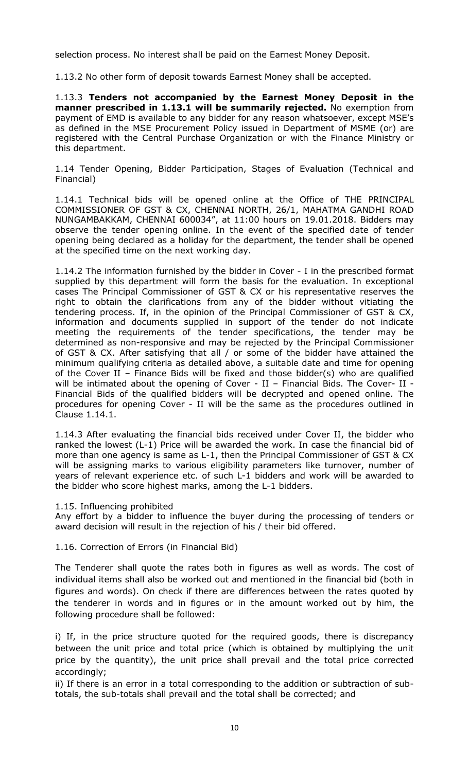selection process. No interest shall be paid on the Earnest Money Deposit.

1.13.2 No other form of deposit towards Earnest Money shall be accepted.

1.13.3 **Tenders not accompanied by the Earnest Money Deposit in the manner prescribed in 1.13.1 will be summarily rejected.** No exemption from payment of EMD is available to any bidder for any reason whatsoever, except MSE's as defined in the MSE Procurement Policy issued in Department of MSME (or) are registered with the Central Purchase Organization or with the Finance Ministry or this department.

1.14 Tender Opening, Bidder Participation, Stages of Evaluation (Technical and Financial)

1.14.1 Technical bids will be opened online at the Office of THE PRINCIPAL COMMISSIONER OF GST & CX, CHENNAI NORTH, 26/1, MAHATMA GANDHI ROAD NUNGAMBAKKAM, CHENNAI 600034", at 11:00 hours on 19.01.2018. Bidders may observe the tender opening online. In the event of the specified date of tender opening being declared as a holiday for the department, the tender shall be opened at the specified time on the next working day.

1.14.2 The information furnished by the bidder in Cover - I in the prescribed format supplied by this department will form the basis for the evaluation. In exceptional cases The Principal Commissioner of GST & CX or his representative reserves the right to obtain the clarifications from any of the bidder without vitiating the tendering process. If, in the opinion of the Principal Commissioner of GST & CX, information and documents supplied in support of the tender do not indicate meeting the requirements of the tender specifications, the tender may be determined as non-responsive and may be rejected by the Principal Commissioner of GST & CX. After satisfying that all / or some of the bidder have attained the minimum qualifying criteria as detailed above, a suitable date and time for opening of the Cover II – Finance Bids will be fixed and those bidder(s) who are qualified will be intimated about the opening of Cover - II - Financial Bids. The Cover- II -Financial Bids of the qualified bidders will be decrypted and opened online. The procedures for opening Cover - II will be the same as the procedures outlined in Clause 1.14.1.

1.14.3 After evaluating the financial bids received under Cover II, the bidder who ranked the lowest (L-1) Price will be awarded the work. In case the financial bid of more than one agency is same as L-1, then the Principal Commissioner of GST & CX will be assigning marks to various eligibility parameters like turnover, number of years of relevant experience etc. of such L-1 bidders and work will be awarded to the bidder who score highest marks, among the L-1 bidders.

1.15. Influencing prohibited

Any effort by a bidder to influence the buyer during the processing of tenders or award decision will result in the rejection of his / their bid offered.

1.16. Correction of Errors (in Financial Bid)

The Tenderer shall quote the rates both in figures as well as words. The cost of individual items shall also be worked out and mentioned in the financial bid (both in figures and words). On check if there are differences between the rates quoted by the tenderer in words and in figures or in the amount worked out by him, the following procedure shall be followed:

i) If, in the price structure quoted for the required goods, there is discrepancy between the unit price and total price (which is obtained by multiplying the unit price by the quantity), the unit price shall prevail and the total price corrected accordingly;

ii) If there is an error in a total corresponding to the addition or subtraction of subtotals, the sub-totals shall prevail and the total shall be corrected; and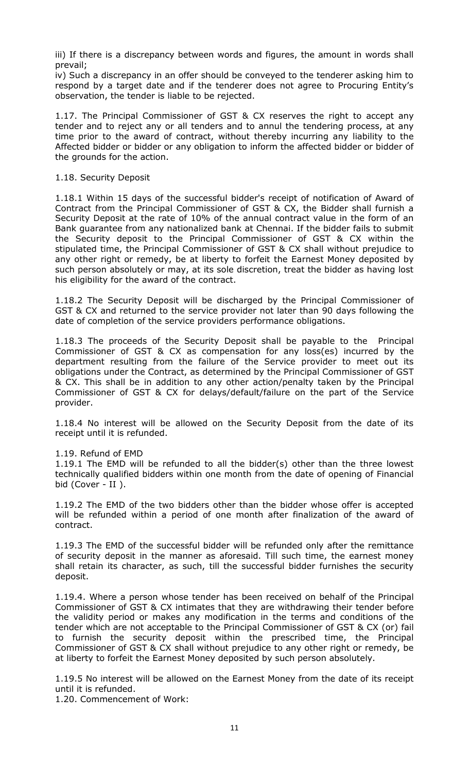iii) If there is a discrepancy between words and figures, the amount in words shall prevail;

iv) Such a discrepancy in an offer should be conveyed to the tenderer asking him to respond by a target date and if the tenderer does not agree to Procuring Entity's observation, the tender is liable to be rejected.

1.17. The Principal Commissioner of GST & CX reserves the right to accept any tender and to reject any or all tenders and to annul the tendering process, at any time prior to the award of contract, without thereby incurring any liability to the Affected bidder or bidder or any obligation to inform the affected bidder or bidder of the grounds for the action.

#### 1.18. Security Deposit

1.18.1 Within 15 days of the successful bidder's receipt of notification of Award of Contract from the Principal Commissioner of GST & CX, the Bidder shall furnish a Security Deposit at the rate of 10% of the annual contract value in the form of an Bank guarantee from any nationalized bank at Chennai. If the bidder fails to submit the Security deposit to the Principal Commissioner of GST & CX within the stipulated time, the Principal Commissioner of GST & CX shall without prejudice to any other right or remedy, be at liberty to forfeit the Earnest Money deposited by such person absolutely or may, at its sole discretion, treat the bidder as having lost his eligibility for the award of the contract.

1.18.2 The Security Deposit will be discharged by the Principal Commissioner of GST & CX and returned to the service provider not later than 90 days following the date of completion of the service providers performance obligations.

1.18.3 The proceeds of the Security Deposit shall be payable to the Principal Commissioner of GST & CX as compensation for any loss(es) incurred by the department resulting from the failure of the Service provider to meet out its obligations under the Contract, as determined by the Principal Commissioner of GST & CX. This shall be in addition to any other action/penalty taken by the Principal Commissioner of GST & CX for delays/default/failure on the part of the Service provider.

1.18.4 No interest will be allowed on the Security Deposit from the date of its receipt until it is refunded.

1.19. Refund of EMD

1.19.1 The EMD will be refunded to all the bidder(s) other than the three lowest technically qualified bidders within one month from the date of opening of Financial bid (Cover - II ).

1.19.2 The EMD of the two bidders other than the bidder whose offer is accepted will be refunded within a period of one month after finalization of the award of contract.

1.19.3 The EMD of the successful bidder will be refunded only after the remittance of security deposit in the manner as aforesaid. Till such time, the earnest money shall retain its character, as such, till the successful bidder furnishes the security deposit.

1.19.4. Where a person whose tender has been received on behalf of the Principal Commissioner of GST & CX intimates that they are withdrawing their tender before the validity period or makes any modification in the terms and conditions of the tender which are not acceptable to the Principal Commissioner of GST & CX (or) fail to furnish the security deposit within the prescribed time, the Principal Commissioner of GST & CX shall without prejudice to any other right or remedy, be at liberty to forfeit the Earnest Money deposited by such person absolutely.

1.19.5 No interest will be allowed on the Earnest Money from the date of its receipt until it is refunded.

1.20. Commencement of Work: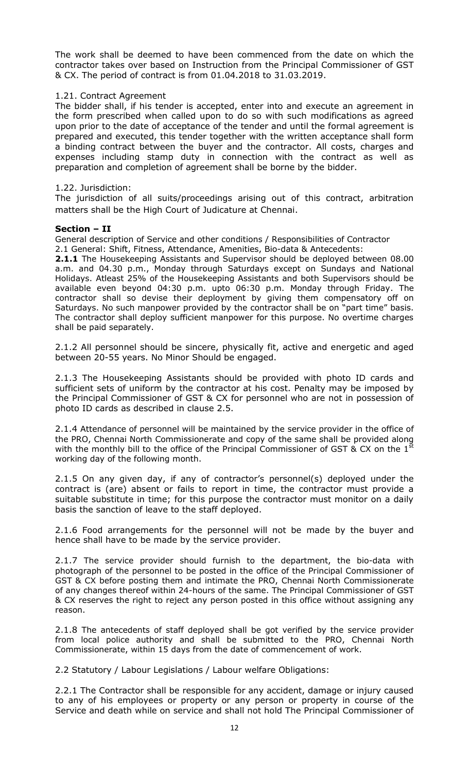The work shall be deemed to have been commenced from the date on which the contractor takes over based on Instruction from the Principal Commissioner of GST & CX. The period of contract is from 01.04.2018 to 31.03.2019.

#### 1.21. Contract Agreement

The bidder shall, if his tender is accepted, enter into and execute an agreement in the form prescribed when called upon to do so with such modifications as agreed upon prior to the date of acceptance of the tender and until the formal agreement is prepared and executed, this tender together with the written acceptance shall form a binding contract between the buyer and the contractor. All costs, charges and expenses including stamp duty in connection with the contract as well as preparation and completion of agreement shall be borne by the bidder.

#### 1.22. Jurisdiction:

The jurisdiction of all suits/proceedings arising out of this contract, arbitration matters shall be the High Court of Judicature at Chennai.

#### **Section – II**

General description of Service and other conditions / Responsibilities of Contractor 2.1 General: Shift, Fitness, Attendance, Amenities, Bio-data & Antecedents:

**2.1.1** The Housekeeping Assistants and Supervisor should be deployed between 08.00 a.m. and 04.30 p.m., Monday through Saturdays except on Sundays and National Holidays. Atleast 25% of the Housekeeping Assistants and both Supervisors should be available even beyond 04:30 p.m. upto 06:30 p.m. Monday through Friday. The contractor shall so devise their deployment by giving them compensatory off on Saturdays. No such manpower provided by the contractor shall be on "part time" basis. The contractor shall deploy sufficient manpower for this purpose. No overtime charges shall be paid separately.

2.1.2 All personnel should be sincere, physically fit, active and energetic and aged between 20-55 years. No Minor Should be engaged.

2.1.3 The Housekeeping Assistants should be provided with photo ID cards and sufficient sets of uniform by the contractor at his cost. Penalty may be imposed by the Principal Commissioner of GST & CX for personnel who are not in possession of photo ID cards as described in clause 2.5.

2.1.4 Attendance of personnel will be maintained by the service provider in the office of the PRO, Chennai North Commissionerate and copy of the same shall be provided along with the monthly bill to the office of the Principal Commissioner of GST & CX on the  $1<sup>st</sup>$ working day of the following month.

2.1.5 On any given day, if any of contractor's personnel(s) deployed under the contract is (are) absent or fails to report in time, the contractor must provide a suitable substitute in time; for this purpose the contractor must monitor on a daily basis the sanction of leave to the staff deployed.

2.1.6 Food arrangements for the personnel will not be made by the buyer and hence shall have to be made by the service provider.

2.1.7 The service provider should furnish to the department, the bio-data with photograph of the personnel to be posted in the office of the Principal Commissioner of GST & CX before posting them and intimate the PRO, Chennai North Commissionerate of any changes thereof within 24-hours of the same. The Principal Commissioner of GST & CX reserves the right to reject any person posted in this office without assigning any reason.

2.1.8 The antecedents of staff deployed shall be got verified by the service provider from local police authority and shall be submitted to the PRO, Chennai North Commissionerate, within 15 days from the date of commencement of work.

2.2 Statutory / Labour Legislations / Labour welfare Obligations:

2.2.1 The Contractor shall be responsible for any accident, damage or injury caused to any of his employees or property or any person or property in course of the Service and death while on service and shall not hold The Principal Commissioner of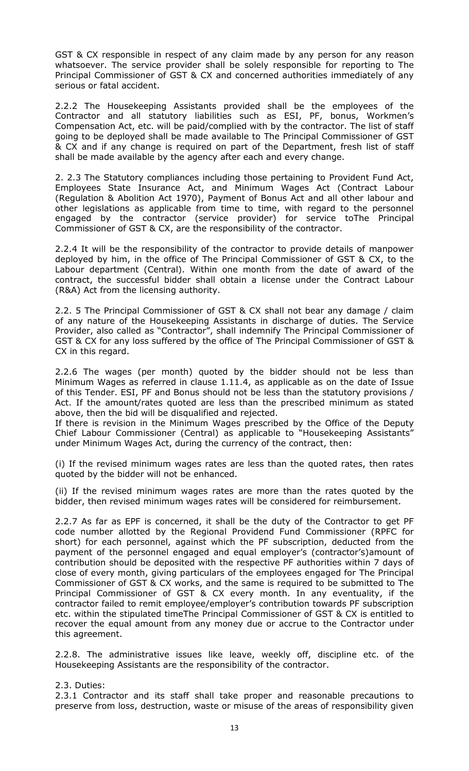GST & CX responsible in respect of any claim made by any person for any reason whatsoever. The service provider shall be solely responsible for reporting to The Principal Commissioner of GST & CX and concerned authorities immediately of any serious or fatal accident.

2.2.2 The Housekeeping Assistants provided shall be the employees of the Contractor and all statutory liabilities such as ESI, PF, bonus, Workmen's Compensation Act, etc. will be paid/complied with by the contractor. The list of staff going to be deployed shall be made available to The Principal Commissioner of GST & CX and if any change is required on part of the Department, fresh list of staff shall be made available by the agency after each and every change.

2. 2.3 The Statutory compliances including those pertaining to Provident Fund Act, Employees State Insurance Act, and Minimum Wages Act (Contract Labour (Regulation & Abolition Act 1970), Payment of Bonus Act and all other labour and other legislations as applicable from time to time, with regard to the personnel engaged by the contractor (service provider) for service toThe Principal Commissioner of GST & CX, are the responsibility of the contractor.

2.2.4 It will be the responsibility of the contractor to provide details of manpower deployed by him, in the office of The Principal Commissioner of GST & CX, to the Labour department (Central). Within one month from the date of award of the contract, the successful bidder shall obtain a license under the Contract Labour (R&A) Act from the licensing authority.

2.2. 5 The Principal Commissioner of GST & CX shall not bear any damage / claim of any nature of the Housekeeping Assistants in discharge of duties. The Service Provider, also called as "Contractor", shall indemnify The Principal Commissioner of GST & CX for any loss suffered by the office of The Principal Commissioner of GST & CX in this regard.

2.2.6 The wages (per month) quoted by the bidder should not be less than Minimum Wages as referred in clause 1.11.4, as applicable as on the date of Issue of this Tender. ESI, PF and Bonus should not be less than the statutory provisions / Act. If the amount/rates quoted are less than the prescribed minimum as stated above, then the bid will be disqualified and rejected.

If there is revision in the Minimum Wages prescribed by the Office of the Deputy Chief Labour Commissioner (Central) as applicable to "Housekeeping Assistants" under Minimum Wages Act, during the currency of the contract, then:

(i) If the revised minimum wages rates are less than the quoted rates, then rates quoted by the bidder will not be enhanced.

(ii) If the revised minimum wages rates are more than the rates quoted by the bidder, then revised minimum wages rates will be considered for reimbursement.

2.2.7 As far as EPF is concerned, it shall be the duty of the Contractor to get PF code number allotted by the Regional Providend Fund Commissioner (RPFC for short) for each personnel, against which the PF subscription, deducted from the payment of the personnel engaged and equal employer's (contractor's)amount of contribution should be deposited with the respective PF authorities within 7 days of close of every month, giving particulars of the employees engaged for The Principal Commissioner of GST & CX works, and the same is required to be submitted to The Principal Commissioner of GST & CX every month. In any eventuality, if the contractor failed to remit employee/employer's contribution towards PF subscription etc. within the stipulated timeThe Principal Commissioner of GST & CX is entitled to recover the equal amount from any money due or accrue to the Contractor under this agreement.

2.2.8. The administrative issues like leave, weekly off, discipline etc. of the Housekeeping Assistants are the responsibility of the contractor.

## 2.3. Duties:

2.3.1 Contractor and its staff shall take proper and reasonable precautions to preserve from loss, destruction, waste or misuse of the areas of responsibility given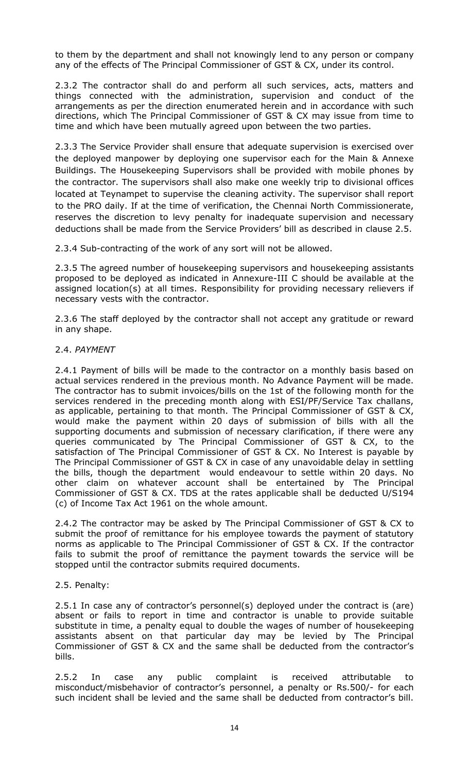to them by the department and shall not knowingly lend to any person or company any of the effects of The Principal Commissioner of GST & CX, under its control.

2.3.2 The contractor shall do and perform all such services, acts, matters and things connected with the administration, supervision and conduct of the arrangements as per the direction enumerated herein and in accordance with such directions, which The Principal Commissioner of GST & CX may issue from time to time and which have been mutually agreed upon between the two parties.

2.3.3 The Service Provider shall ensure that adequate supervision is exercised over the deployed manpower by deploying one supervisor each for the Main & Annexe Buildings. The Housekeeping Supervisors shall be provided with mobile phones by the contractor. The supervisors shall also make one weekly trip to divisional offices located at Teynampet to supervise the cleaning activity. The supervisor shall report to the PRO daily. If at the time of verification, the Chennai North Commissionerate, reserves the discretion to levy penalty for inadequate supervision and necessary deductions shall be made from the Service Providers' bill as described in clause 2.5.

2.3.4 Sub-contracting of the work of any sort will not be allowed.

2.3.5 The agreed number of housekeeping supervisors and housekeeping assistants proposed to be deployed as indicated in Annexure-III C should be available at the assigned location(s) at all times. Responsibility for providing necessary relievers if necessary vests with the contractor.

2.3.6 The staff deployed by the contractor shall not accept any gratitude or reward in any shape.

## 2.4. *PAYMENT*

2.4.1 Payment of bills will be made to the contractor on a monthly basis based on actual services rendered in the previous month. No Advance Payment will be made. The contractor has to submit invoices/bills on the 1st of the following month for the services rendered in the preceding month along with ESI/PF/Service Tax challans, as applicable, pertaining to that month. The Principal Commissioner of GST & CX, would make the payment within 20 days of submission of bills with all the supporting documents and submission of necessary clarification, if there were any queries communicated by The Principal Commissioner of GST & CX, to the satisfaction of The Principal Commissioner of GST & CX. No Interest is payable by The Principal Commissioner of GST & CX in case of any unavoidable delay in settling the bills, though the department would endeavour to settle within 20 days. No other claim on whatever account shall be entertained by The Principal Commissioner of GST & CX. TDS at the rates applicable shall be deducted U/S194 (c) of Income Tax Act 1961 on the whole amount.

2.4.2 The contractor may be asked by The Principal Commissioner of GST & CX to submit the proof of remittance for his employee towards the payment of statutory norms as applicable to The Principal Commissioner of GST & CX. If the contractor fails to submit the proof of remittance the payment towards the service will be stopped until the contractor submits required documents.

## 2.5. Penalty:

2.5.1 In case any of contractor's personnel(s) deployed under the contract is (are) absent or fails to report in time and contractor is unable to provide suitable substitute in time, a penalty equal to double the wages of number of housekeeping assistants absent on that particular day may be levied by The Principal Commissioner of GST & CX and the same shall be deducted from the contractor's bills.

2.5.2 In case any public complaint is received attributable to misconduct/misbehavior of contractor's personnel, a penalty or Rs.500/- for each such incident shall be levied and the same shall be deducted from contractor's bill.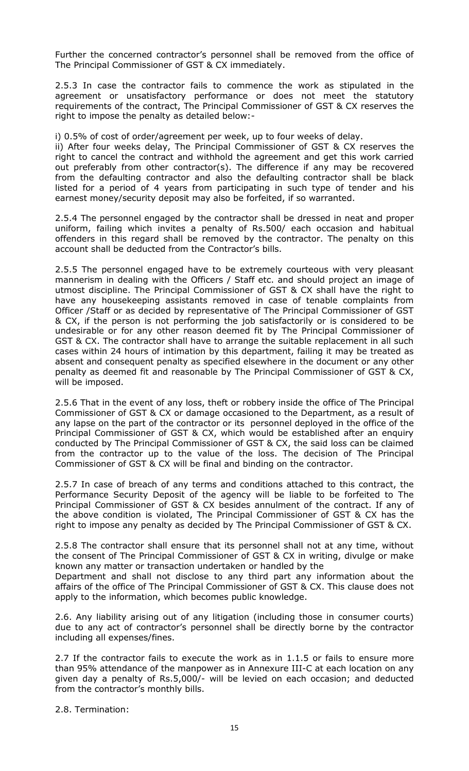Further the concerned contractor's personnel shall be removed from the office of The Principal Commissioner of GST & CX immediately.

2.5.3 In case the contractor fails to commence the work as stipulated in the agreement or unsatisfactory performance or does not meet the statutory requirements of the contract, The Principal Commissioner of GST & CX reserves the right to impose the penalty as detailed below:-

i) 0.5% of cost of order/agreement per week, up to four weeks of delay.

ii) After four weeks delay, The Principal Commissioner of GST & CX reserves the right to cancel the contract and withhold the agreement and get this work carried out preferably from other contractor(s). The difference if any may be recovered from the defaulting contractor and also the defaulting contractor shall be black listed for a period of 4 years from participating in such type of tender and his earnest money/security deposit may also be forfeited, if so warranted.

2.5.4 The personnel engaged by the contractor shall be dressed in neat and proper uniform, failing which invites a penalty of Rs.500/ each occasion and habitual offenders in this regard shall be removed by the contractor. The penalty on this account shall be deducted from the Contractor's bills.

2.5.5 The personnel engaged have to be extremely courteous with very pleasant mannerism in dealing with the Officers / Staff etc. and should project an image of utmost discipline. The Principal Commissioner of GST & CX shall have the right to have any housekeeping assistants removed in case of tenable complaints from Officer /Staff or as decided by representative of The Principal Commissioner of GST & CX, if the person is not performing the job satisfactorily or is considered to be undesirable or for any other reason deemed fit by The Principal Commissioner of GST & CX. The contractor shall have to arrange the suitable replacement in all such cases within 24 hours of intimation by this department, failing it may be treated as absent and consequent penalty as specified elsewhere in the document or any other penalty as deemed fit and reasonable by The Principal Commissioner of GST & CX, will be imposed.

2.5.6 That in the event of any loss, theft or robbery inside the office of The Principal Commissioner of GST & CX or damage occasioned to the Department, as a result of any lapse on the part of the contractor or its personnel deployed in the office of the Principal Commissioner of GST & CX, which would be established after an enquiry conducted by The Principal Commissioner of GST & CX, the said loss can be claimed from the contractor up to the value of the loss. The decision of The Principal Commissioner of GST & CX will be final and binding on the contractor.

2.5.7 In case of breach of any terms and conditions attached to this contract, the Performance Security Deposit of the agency will be liable to be forfeited to The Principal Commissioner of GST & CX besides annulment of the contract. If any of the above condition is violated, The Principal Commissioner of GST & CX has the right to impose any penalty as decided by The Principal Commissioner of GST & CX.

2.5.8 The contractor shall ensure that its personnel shall not at any time, without the consent of The Principal Commissioner of GST & CX in writing, divulge or make known any matter or transaction undertaken or handled by the

Department and shall not disclose to any third part any information about the affairs of the office of The Principal Commissioner of GST & CX. This clause does not apply to the information, which becomes public knowledge.

2.6. Any liability arising out of any litigation (including those in consumer courts) due to any act of contractor's personnel shall be directly borne by the contractor including all expenses/fines.

2.7 If the contractor fails to execute the work as in 1.1.5 or fails to ensure more than 95% attendance of the manpower as in Annexure III-C at each location on any given day a penalty of Rs.5,000/- will be levied on each occasion; and deducted from the contractor's monthly bills.

2.8. Termination: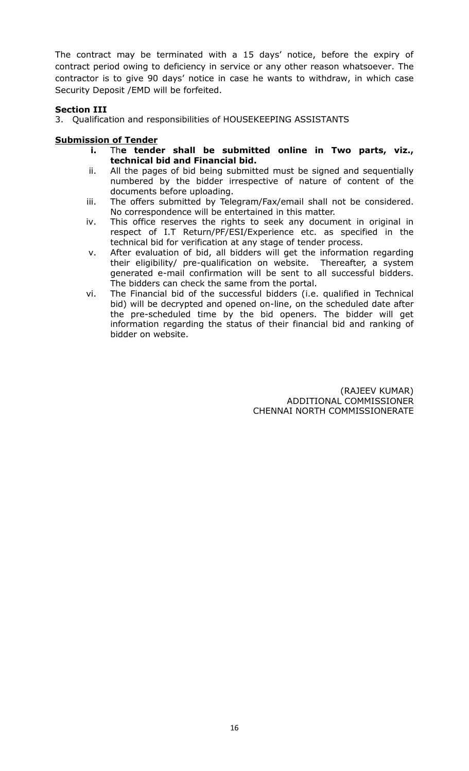The contract may be terminated with a 15 days' notice, before the expiry of contract period owing to deficiency in service or any other reason whatsoever. The contractor is to give 90 days' notice in case he wants to withdraw, in which case Security Deposit /EMD will be forfeited.

# **Section III**

3. Qualification and responsibilities of HOUSEKEEPING ASSISTANTS

# **Submission of Tender**

- **i.** Th**e tender shall be submitted online in Two parts, viz., technical bid and Financial bid.**
- ii. All the pages of bid being submitted must be signed and sequentially numbered by the bidder irrespective of nature of content of the documents before uploading.
- iii. The offers submitted by Telegram/Fax/email shall not be considered. No correspondence will be entertained in this matter.
- iv. This office reserves the rights to seek any document in original in respect of I.T Return/PF/ESI/Experience etc. as specified in the technical bid for verification at any stage of tender process.
- v. After evaluation of bid, all bidders will get the information regarding their eligibility/ pre-qualification on website. Thereafter, a system generated e-mail confirmation will be sent to all successful bidders. The bidders can check the same from the portal.
- vi. The Financial bid of the successful bidders (i.e. qualified in Technical bid) will be decrypted and opened on-line, on the scheduled date after the pre-scheduled time by the bid openers. The bidder will get information regarding the status of their financial bid and ranking of bidder on website.

 (RAJEEV KUMAR) ADDITIONAL COMMISSIONER CHENNAI NORTH COMMISSIONERATE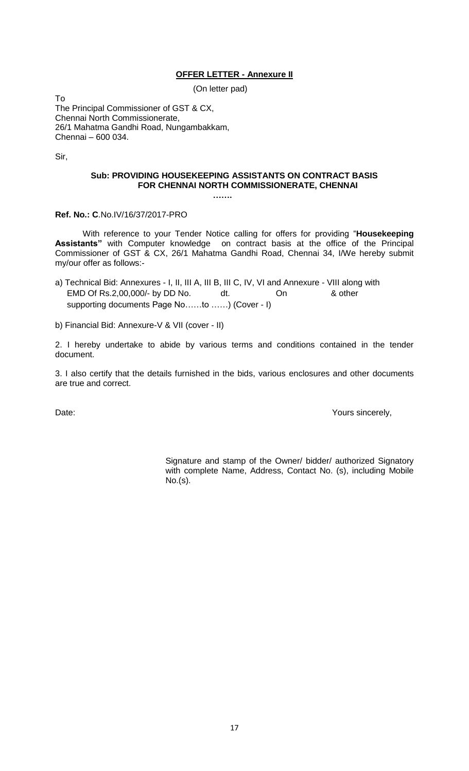## **OFFER LETTER - Annexure II**

(On letter pad)

To The Principal Commissioner of GST & CX, Chennai North Commissionerate, 26/1 Mahatma Gandhi Road, Nungambakkam, Chennai – 600 034.

Sir,

## **Sub: PROVIDING HOUSEKEEPING ASSISTANTS ON CONTRACT BASIS FOR CHENNAI NORTH COMMISSIONERATE, CHENNAI**

 **…….**

**Ref. No.: C**.No.IV/16/37/2017-PRO

With reference to your Tender Notice calling for offers for providing "**Housekeeping Assistants"** with Computer knowledge on contract basis at the office of the Principal Commissioner of GST & CX, 26/1 Mahatma Gandhi Road, Chennai 34, I/We hereby submit my/our offer as follows:-

- a) Technical Bid: Annexures I, II, III A, III B, III C, IV, VI and Annexure VIII along with EMD Of Rs.2,00,000/- by DD No. dt. On & other supporting documents Page No……to ……) (Cover - I)
- b) Financial Bid: Annexure-V & VII (cover II)

2. I hereby undertake to abide by various terms and conditions contained in the tender document.

3. I also certify that the details furnished in the bids, various enclosures and other documents are true and correct.

Date:  $\blacksquare$ 

Signature and stamp of the Owner/ bidder/ authorized Signatory with complete Name, Address, Contact No. (s), including Mobile No.(s).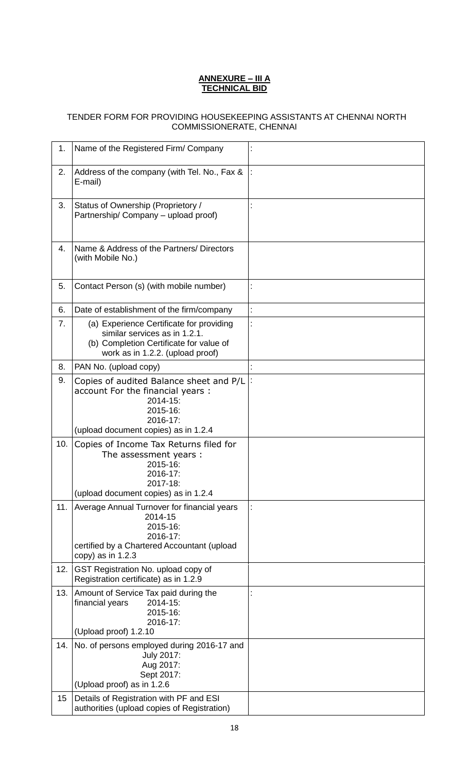## **ANNEXURE – III A TECHNICAL BID**

# TENDER FORM FOR PROVIDING HOUSEKEEPING ASSISTANTS AT CHENNAI NORTH COMMISSIONERATE, CHENNAI

| 1.  | Name of the Registered Firm/ Company                                                                                                                     |                |
|-----|----------------------------------------------------------------------------------------------------------------------------------------------------------|----------------|
| 2.  | Address of the company (with Tel. No., Fax &<br>E-mail)                                                                                                  |                |
| 3.  | Status of Ownership (Proprietory /<br>Partnership/ Company - upload proof)                                                                               |                |
| 4.  | Name & Address of the Partners/ Directors<br>(with Mobile No.)                                                                                           |                |
| 5.  | Contact Person (s) (with mobile number)                                                                                                                  | t              |
| 6.  | Date of establishment of the firm/company                                                                                                                | $\ddot{\cdot}$ |
| 7.  | (a) Experience Certificate for providing<br>similar services as in 1.2.1.<br>(b) Completion Certificate for value of<br>work as in 1.2.2. (upload proof) |                |
| 8.  | PAN No. (upload copy)                                                                                                                                    |                |
| 9.  | Copies of audited Balance sheet and P/L<br>account For the financial years:<br>2014-15:<br>2015-16:<br>2016-17:<br>(upload document copies) as in 1.2.4  |                |
| 10. | Copies of Income Tax Returns filed for<br>The assessment years :<br>2015-16:<br>2016-17:<br>2017-18:<br>(upload document copies) as in 1.2.4             |                |
| 11. | Average Annual Turnover for financial years<br>2014-15<br>2015-16:<br>2016-17:<br>certified by a Chartered Accountant (upload<br>copy) as in $1.2.3$     |                |
| 12. | GST Registration No. upload copy of<br>Registration certificate) as in 1.2.9                                                                             |                |
| 13. | Amount of Service Tax paid during the<br>2014-15:<br>financial years<br>2015-16:<br>2016-17:<br>(Upload proof) 1.2.10                                    |                |
| 14. | No. of persons employed during 2016-17 and<br><b>July 2017:</b><br>Aug 2017:<br>Sept 2017:<br>(Upload proof) as in 1.2.6                                 |                |
| 15  | Details of Registration with PF and ESI<br>authorities (upload copies of Registration)                                                                   |                |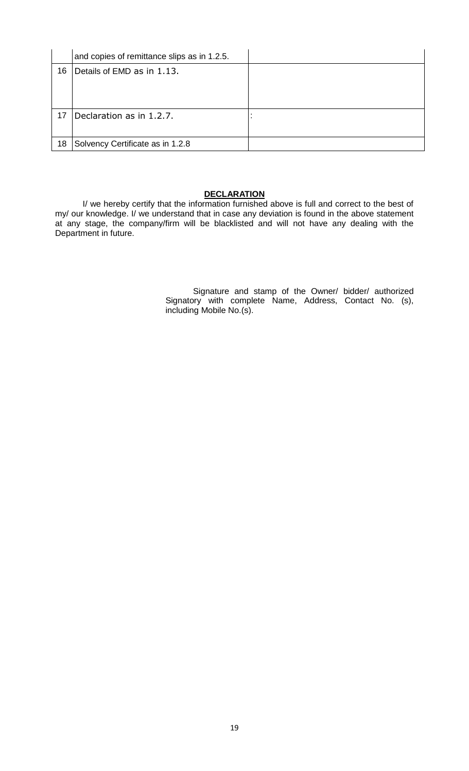|    | and copies of remittance slips as in 1.2.5. |  |
|----|---------------------------------------------|--|
| 16 | Details of EMD as in 1.13.                  |  |
|    |                                             |  |
|    |                                             |  |
| 17 | Declaration as in 1.2.7.                    |  |
|    |                                             |  |
| 18 | Solvency Certificate as in 1.2.8            |  |

## **DECLARATION**

I/ we hereby certify that the information furnished above is full and correct to the best of my/ our knowledge. I/ we understand that in case any deviation is found in the above statement at any stage, the company/firm will be blacklisted and will not have any dealing with the Department in future.

> Signature and stamp of the Owner/ bidder/ authorized Signatory with complete Name, Address, Contact No. (s), including Mobile No.(s).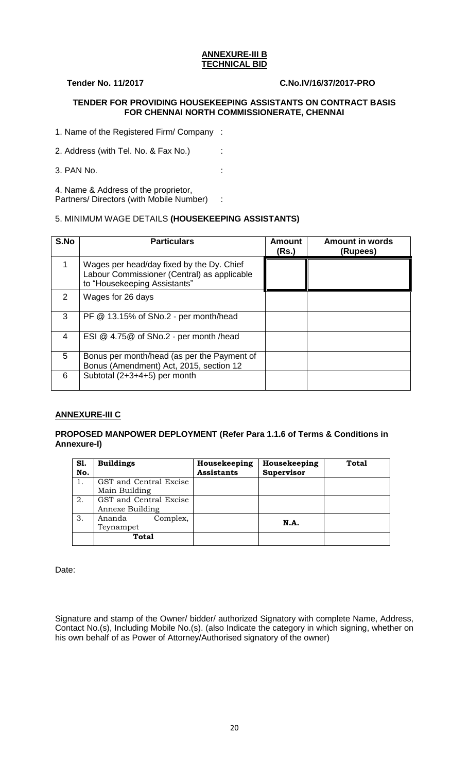#### **ANNEXURE-III B TECHNICAL BID**

## **Tender No. 11/2017 C.No.IV/16/37/2017-PRO**

## **TENDER FOR PROVIDING HOUSEKEEPING ASSISTANTS ON CONTRACT BASIS FOR CHENNAI NORTH COMMISSIONERATE, CHENNAI**

1. Name of the Registered Firm/ Company :

2. Address (with Tel. No. & Fax No.) :

3. PAN No. :

4. Name & Address of the proprietor, Partners/ Directors (with Mobile Number) :

## 5. MINIMUM WAGE DETAILS **(HOUSEKEEPING ASSISTANTS)**

| S.No | <b>Particulars</b>                                                                                                       | <b>Amount</b><br>(Rs.) | <b>Amount in words</b><br>(Rupees) |
|------|--------------------------------------------------------------------------------------------------------------------------|------------------------|------------------------------------|
|      | Wages per head/day fixed by the Dy. Chief<br>Labour Commissioner (Central) as applicable<br>to "Housekeeping Assistants" |                        |                                    |
| 2    | Wages for 26 days                                                                                                        |                        |                                    |
| 3    | PF @ 13.15% of SNo.2 - per month/head                                                                                    |                        |                                    |
| 4    | ESI @ 4.75@ of SNo.2 - per month /head                                                                                   |                        |                                    |
| 5    | Bonus per month/head (as per the Payment of<br>Bonus (Amendment) Act, 2015, section 12                                   |                        |                                    |
| 6    | Subtotal (2+3+4+5) per month                                                                                             |                        |                                    |

# **ANNEXURE-III C**

## **PROPOSED MANPOWER DEPLOYMENT (Refer Para 1.1.6 of Terms & Conditions in Annexure-I)**

| S1.<br>No. | <b>Buildings</b>       | Housekeeping<br><b>Assistants</b> | Housekeeping<br>Supervisor | <b>Total</b> |
|------------|------------------------|-----------------------------------|----------------------------|--------------|
|            | GST and Central Excise |                                   |                            |              |
|            | Main Building          |                                   |                            |              |
| 2.         | GST and Central Excise |                                   |                            |              |
|            | Annexe Building        |                                   |                            |              |
| 3.         | Complex,<br>Ananda     |                                   | N.A.                       |              |
|            | Teynampet              |                                   |                            |              |
|            | <b>Total</b>           |                                   |                            |              |

Date:

Signature and stamp of the Owner/ bidder/ authorized Signatory with complete Name, Address, Contact No.(s), Including Mobile No.(s). (also Indicate the category in which signing, whether on his own behalf of as Power of Attorney/Authorised signatory of the owner)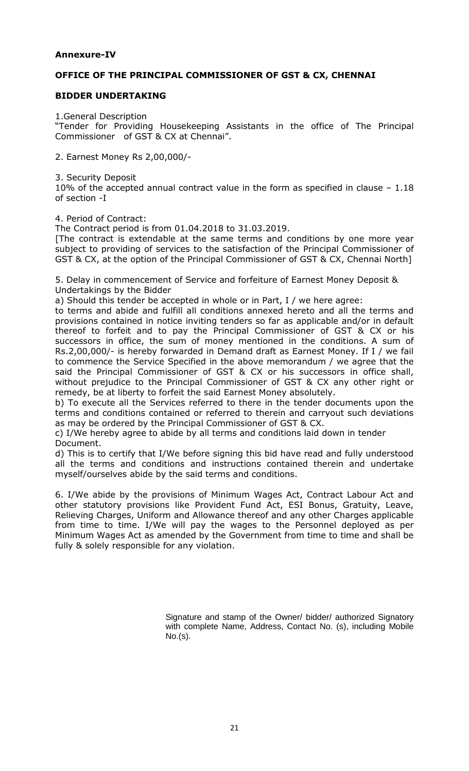# **Annexure-IV**

## **OFFICE OF THE PRINCIPAL COMMISSIONER OF GST & CX, CHENNAI**

## **BIDDER UNDERTAKING**

1.General Description

"Tender for Providing Housekeeping Assistants in the office of The Principal Commissioner of GST & CX at Chennai".

2. Earnest Money Rs 2,00,000/-

3. Security Deposit 10% of the accepted annual contract value in the form as specified in clause – 1.18 of section -I

4. Period of Contract:

The Contract period is from 01.04.2018 to 31.03.2019.

[The contract is extendable at the same terms and conditions by one more year subject to providing of services to the satisfaction of the Principal Commissioner of GST & CX, at the option of the Principal Commissioner of GST & CX, Chennai North]

5. Delay in commencement of Service and forfeiture of Earnest Money Deposit & Undertakings by the Bidder

a) Should this tender be accepted in whole or in Part, I / we here agree:

to terms and abide and fulfill all conditions annexed hereto and all the terms and provisions contained in notice inviting tenders so far as applicable and/or in default thereof to forfeit and to pay the Principal Commissioner of GST & CX or his successors in office, the sum of money mentioned in the conditions. A sum of Rs.2,00,000/- is hereby forwarded in Demand draft as Earnest Money. If I / we fail to commence the Service Specified in the above memorandum / we agree that the said the Principal Commissioner of GST & CX or his successors in office shall, without prejudice to the Principal Commissioner of GST & CX any other right or remedy, be at liberty to forfeit the said Earnest Money absolutely.

b) To execute all the Services referred to there in the tender documents upon the terms and conditions contained or referred to therein and carryout such deviations as may be ordered by the Principal Commissioner of GST & CX.

c) I/We hereby agree to abide by all terms and conditions laid down in tender Document.

d) This is to certify that I/We before signing this bid have read and fully understood all the terms and conditions and instructions contained therein and undertake myself/ourselves abide by the said terms and conditions.

6. I/We abide by the provisions of Minimum Wages Act, Contract Labour Act and other statutory provisions like Provident Fund Act, ESI Bonus, Gratuity, Leave, Relieving Charges, Uniform and Allowance thereof and any other Charges applicable from time to time. I/We will pay the wages to the Personnel deployed as per Minimum Wages Act as amended by the Government from time to time and shall be fully & solely responsible for any violation.

> Signature and stamp of the Owner/ bidder/ authorized Signatory with complete Name, Address, Contact No. (s), including Mobile No.(s).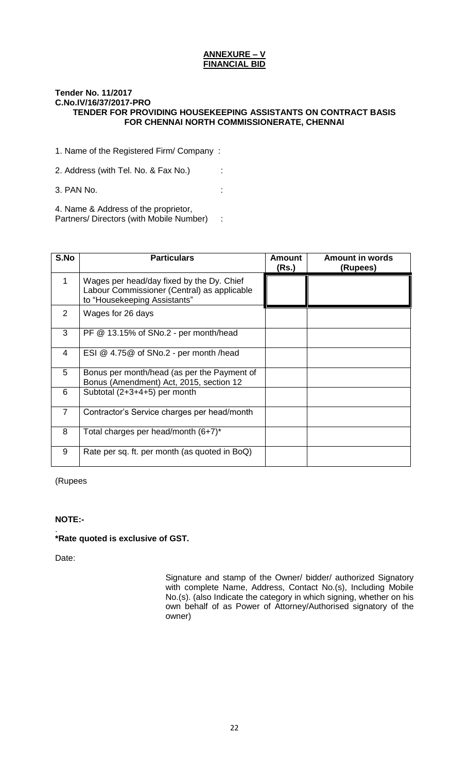#### **ANNEXURE – V FINANCIAL BID**

#### **Tender No. 11/2017 C.No.IV/16/37/2017-PRO TENDER FOR PROVIDING HOUSEKEEPING ASSISTANTS ON CONTRACT BASIS FOR CHENNAI NORTH COMMISSIONERATE, CHENNAI**

1. Name of the Registered Firm/ Company :

2. Address (with Tel. No. & Fax No.) :

3. PAN No. :

4. Name & Address of the proprietor, Partners/ Directors (with Mobile Number) :

| S.No           | <b>Particulars</b>                                                                                                       | Amount<br>(Rs.) | <b>Amount in words</b><br>(Rupees) |
|----------------|--------------------------------------------------------------------------------------------------------------------------|-----------------|------------------------------------|
| 1              | Wages per head/day fixed by the Dy. Chief<br>Labour Commissioner (Central) as applicable<br>to "Housekeeping Assistants" |                 |                                    |
| $\overline{2}$ | Wages for 26 days                                                                                                        |                 |                                    |
| 3              | PF @ 13.15% of SNo.2 - per month/head                                                                                    |                 |                                    |
| 4              | ESI @ 4.75@ of SNo.2 - per month /head                                                                                   |                 |                                    |
| 5              | Bonus per month/head (as per the Payment of<br>Bonus (Amendment) Act, 2015, section 12                                   |                 |                                    |
| 6              | Subtotal (2+3+4+5) per month                                                                                             |                 |                                    |
| $\overline{7}$ | Contractor's Service charges per head/month                                                                              |                 |                                    |
| 8              | Total charges per head/month $(6+7)^*$                                                                                   |                 |                                    |
| 9              | Rate per sq. ft. per month (as quoted in BoQ)                                                                            |                 |                                    |

(Rupees

## **NOTE:-**

#### . **\*Rate quoted is exclusive of GST.**

Date:

Signature and stamp of the Owner/ bidder/ authorized Signatory with complete Name, Address, Contact No.(s), Including Mobile No.(s). (also Indicate the category in which signing, whether on his own behalf of as Power of Attorney/Authorised signatory of the owner)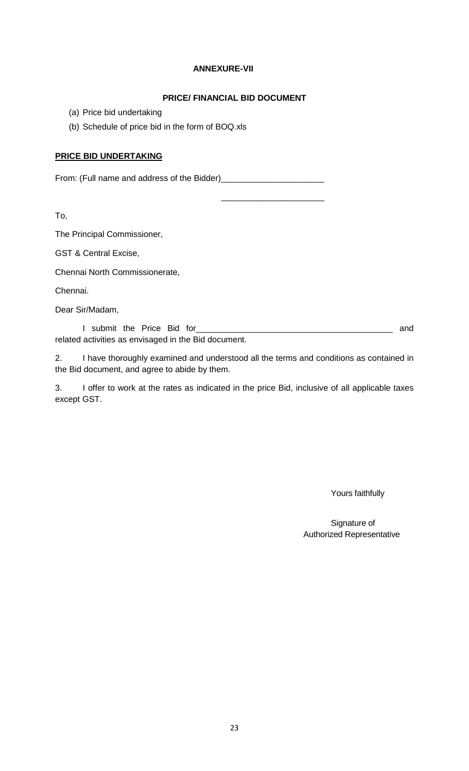## **ANNEXURE-VII**

## **PRICE/ FINANCIAL BID DOCUMENT**

\_\_\_\_\_\_\_\_\_\_\_\_\_\_\_\_\_\_\_\_\_\_

- (a) Price bid undertaking
- (b) Schedule of price bid in the form of BOQ.xls

## **PRICE BID UNDERTAKING**

From: (Full name and address of the Bidder)\_\_\_\_\_\_\_\_\_\_\_\_\_\_\_\_\_\_\_\_\_\_

To,

The Principal Commissioner,

GST & Central Excise,

Chennai North Commissionerate,

Chennai.

Dear Sir/Madam,

I submit the Price Bid for\_\_\_\_\_\_\_\_\_\_\_\_\_\_\_\_\_\_\_\_\_\_\_\_\_\_\_\_\_\_\_\_\_\_\_\_\_\_\_\_\_\_ and related activities as envisaged in the Bid document.

2. I have thoroughly examined and understood all the terms and conditions as contained in the Bid document, and agree to abide by them.

3. I offer to work at the rates as indicated in the price Bid, inclusive of all applicable taxes except GST.

Yours faithfully

Signature of Authorized Representative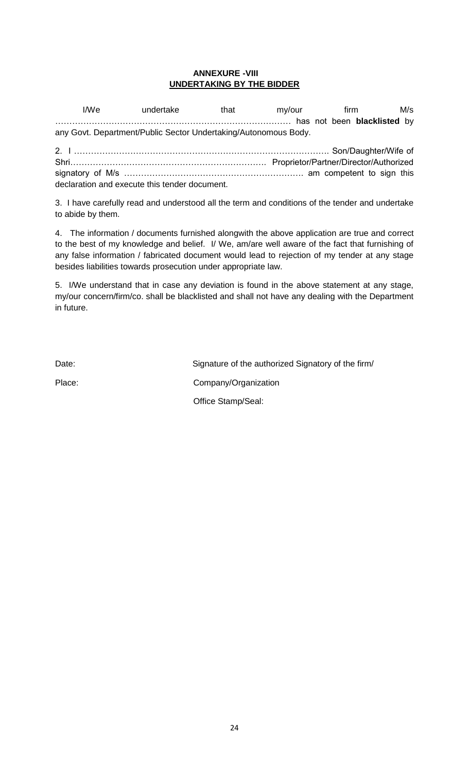## **ANNEXURE -VIII UNDERTAKING BY THE BIDDER**

I/We undertake that my/our firm M/s ………………………………………………………………………… has not been **blacklisted** by any Govt. Department/Public Sector Undertaking/Autonomous Body.

2. I ………………………………………………………………………………. Son/Daughter/Wife of Shri……………………………………………………………. Proprietor/Partner/Director/Authorized signatory of M/s ………………………………………………………. am competent to sign this declaration and execute this tender document.

3. I have carefully read and understood all the term and conditions of the tender and undertake to abide by them.

4. The information / documents furnished alongwith the above application are true and correct to the best of my knowledge and belief. I/ We, am/are well aware of the fact that furnishing of any false information / fabricated document would lead to rejection of my tender at any stage besides liabilities towards prosecution under appropriate law.

5. I/We understand that in case any deviation is found in the above statement at any stage, my/our concern/firm/co. shall be blacklisted and shall not have any dealing with the Department in future.

Date: Date: Signature of the authorized Signatory of the firm/

Place: Company/Organization

Office Stamp/Seal: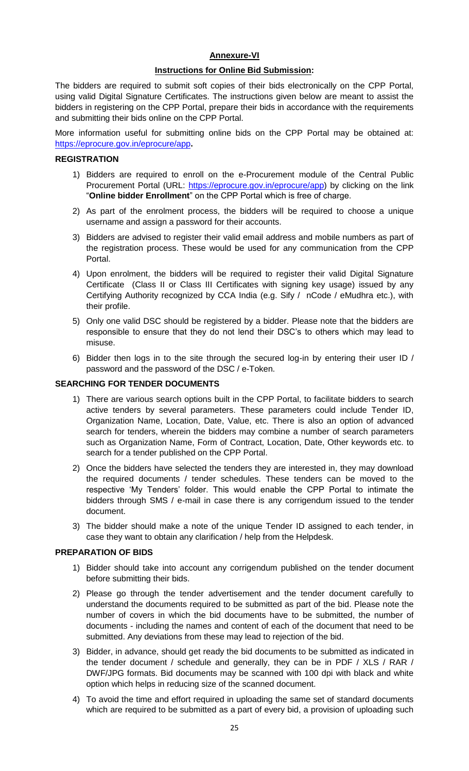## **Annexure-VI**

## **Instructions for Online Bid Submission:**

The bidders are required to submit soft copies of their bids electronically on the CPP Portal, using valid Digital Signature Certificates. The instructions given below are meant to assist the bidders in registering on the CPP Portal, prepare their bids in accordance with the requirements and submitting their bids online on the CPP Portal.

More information useful for submitting online bids on the CPP Portal may be obtained at: <https://eprocure.gov.in/eprocure/app>**.**

## **REGISTRATION**

- 1) Bidders are required to enroll on the e-Procurement module of the Central Public Procurement Portal (URL: [https://eprocure.gov.in/eprocure/app\)](https://eprocure.gov.in/eprocure/app) by clicking on the link "**Online bidder Enrollment**" on the CPP Portal which is free of charge.
- 2) As part of the enrolment process, the bidders will be required to choose a unique username and assign a password for their accounts.
- 3) Bidders are advised to register their valid email address and mobile numbers as part of the registration process. These would be used for any communication from the CPP Portal.
- 4) Upon enrolment, the bidders will be required to register their valid Digital Signature Certificate (Class II or Class III Certificates with signing key usage) issued by any Certifying Authority recognized by CCA India (e.g. Sify / nCode / eMudhra etc.), with their profile.
- 5) Only one valid DSC should be registered by a bidder. Please note that the bidders are responsible to ensure that they do not lend their DSC"s to others which may lead to misuse.
- 6) Bidder then logs in to the site through the secured log-in by entering their user ID / password and the password of the DSC / e-Token.

#### **SEARCHING FOR TENDER DOCUMENTS**

- 1) There are various search options built in the CPP Portal, to facilitate bidders to search active tenders by several parameters. These parameters could include Tender ID, Organization Name, Location, Date, Value, etc. There is also an option of advanced search for tenders, wherein the bidders may combine a number of search parameters such as Organization Name, Form of Contract, Location, Date, Other keywords etc. to search for a tender published on the CPP Portal.
- 2) Once the bidders have selected the tenders they are interested in, they may download the required documents / tender schedules. These tenders can be moved to the respective "My Tenders" folder. This would enable the CPP Portal to intimate the bidders through SMS / e-mail in case there is any corrigendum issued to the tender document.
- 3) The bidder should make a note of the unique Tender ID assigned to each tender, in case they want to obtain any clarification / help from the Helpdesk.

#### **PREPARATION OF BIDS**

- 1) Bidder should take into account any corrigendum published on the tender document before submitting their bids.
- 2) Please go through the tender advertisement and the tender document carefully to understand the documents required to be submitted as part of the bid. Please note the number of covers in which the bid documents have to be submitted, the number of documents - including the names and content of each of the document that need to be submitted. Any deviations from these may lead to rejection of the bid.
- 3) Bidder, in advance, should get ready the bid documents to be submitted as indicated in the tender document / schedule and generally, they can be in PDF / XLS / RAR / DWF/JPG formats. Bid documents may be scanned with 100 dpi with black and white option which helps in reducing size of the scanned document.
- 4) To avoid the time and effort required in uploading the same set of standard documents which are required to be submitted as a part of every bid, a provision of uploading such